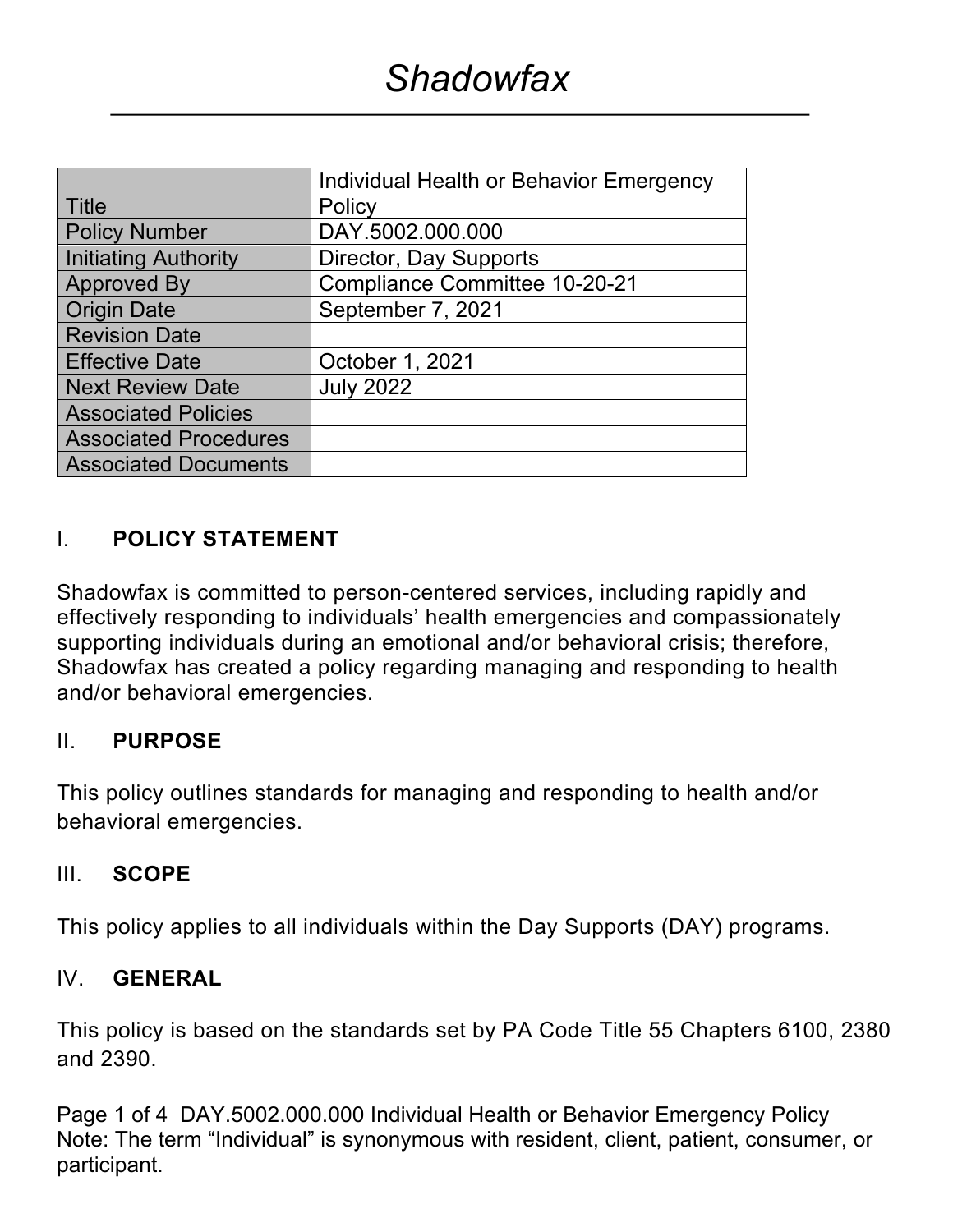|                              | <b>Individual Health or Behavior Emergency</b> |  |
|------------------------------|------------------------------------------------|--|
| Title                        | Policy                                         |  |
| <b>Policy Number</b>         | DAY.5002.000.000                               |  |
| <b>Initiating Authority</b>  | Director, Day Supports                         |  |
| <b>Approved By</b>           | <b>Compliance Committee 10-20-21</b>           |  |
| <b>Origin Date</b>           | September 7, 2021                              |  |
| <b>Revision Date</b>         |                                                |  |
| <b>Effective Date</b>        | October 1, 2021                                |  |
| <b>Next Review Date</b>      | <b>July 2022</b>                               |  |
| <b>Associated Policies</b>   |                                                |  |
| <b>Associated Procedures</b> |                                                |  |
| <b>Associated Documents</b>  |                                                |  |

#### I. **POLICY STATEMENT**

Shadowfax is committed to person-centered services, including rapidly and effectively responding to individuals' health emergencies and compassionately supporting individuals during an emotional and/or behavioral crisis; therefore, Shadowfax has created a policy regarding managing and responding to health and/or behavioral emergencies.

#### II. **PURPOSE**

This policy outlines standards for managing and responding to health and/or behavioral emergencies.

#### III. **SCOPE**

This policy applies to all individuals within the Day Supports (DAY) programs.

#### IV. **GENERAL**

This policy is based on the standards set by PA Code Title 55 Chapters 6100, 2380 and 2390.

Page 1 of 4 DAY.5002.000.000 Individual Health or Behavior Emergency Policy Note: The term "Individual" is synonymous with resident, client, patient, consumer, or participant.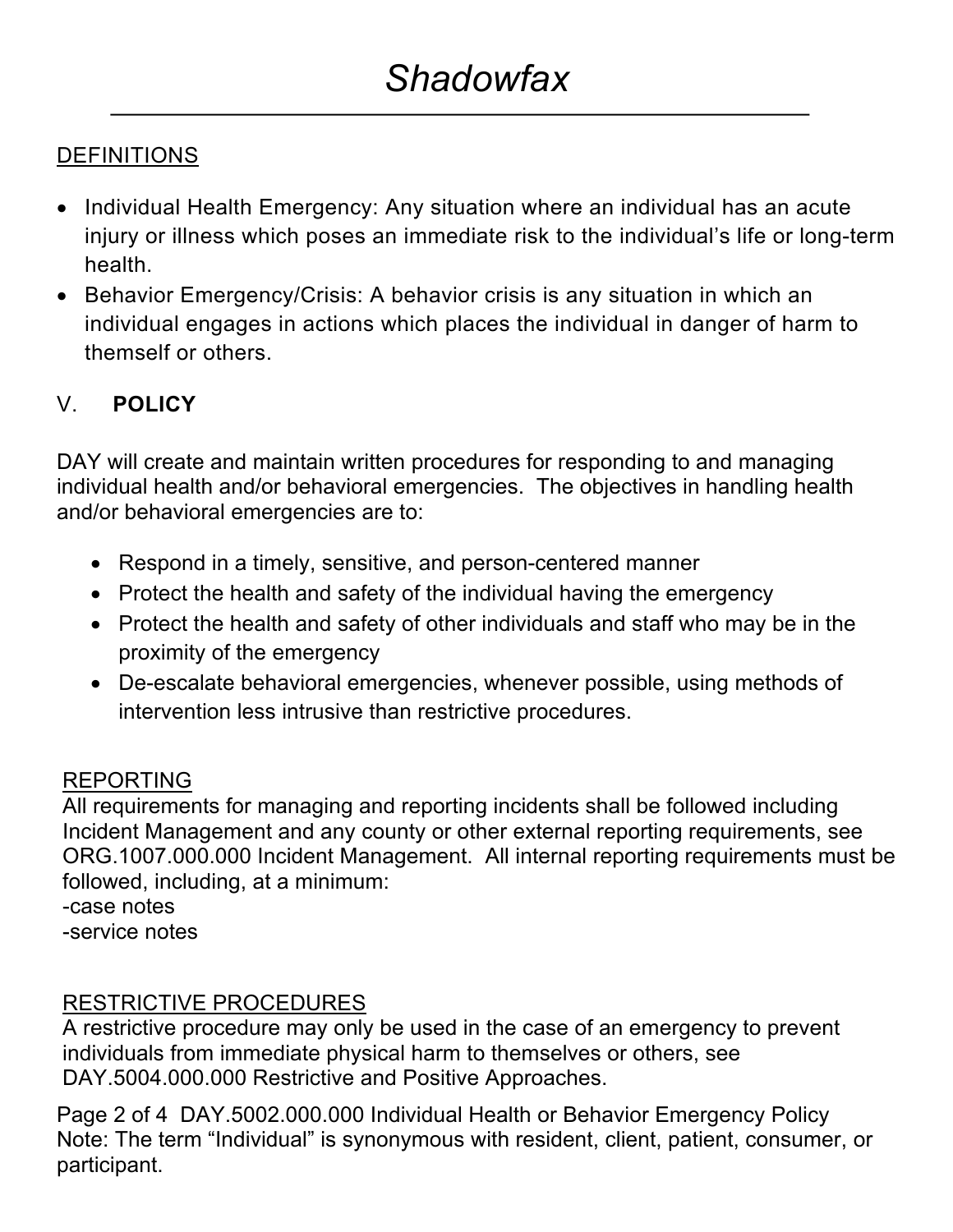### DEFINITIONS

- Individual Health Emergency: Any situation where an individual has an acute injury or illness which poses an immediate risk to the individual's life or long-term health.
- Behavior Emergency/Crisis: A behavior crisis is any situation in which an individual engages in actions which places the individual in danger of harm to themself or others.

# V. **POLICY**

DAY will create and maintain written procedures for responding to and managing individual health and/or behavioral emergencies. The objectives in handling health and/or behavioral emergencies are to:

- Respond in a timely, sensitive, and person-centered manner
- Protect the health and safety of the individual having the emergency
- Protect the health and safety of other individuals and staff who may be in the proximity of the emergency
- De-escalate behavioral emergencies, whenever possible, using methods of intervention less intrusive than restrictive procedures.

## REPORTING

All requirements for managing and reporting incidents shall be followed including Incident Management and any county or other external reporting requirements, see ORG.1007.000.000 Incident Management. All internal reporting requirements must be followed, including, at a minimum:

-case notes

-service notes

## RESTRICTIVE PROCEDURES

A restrictive procedure may only be used in the case of an emergency to prevent individuals from immediate physical harm to themselves or others, see DAY.5004.000.000 Restrictive and Positive Approaches.

Page 2 of 4 DAY.5002.000.000 Individual Health or Behavior Emergency Policy Note: The term "Individual" is synonymous with resident, client, patient, consumer, or participant.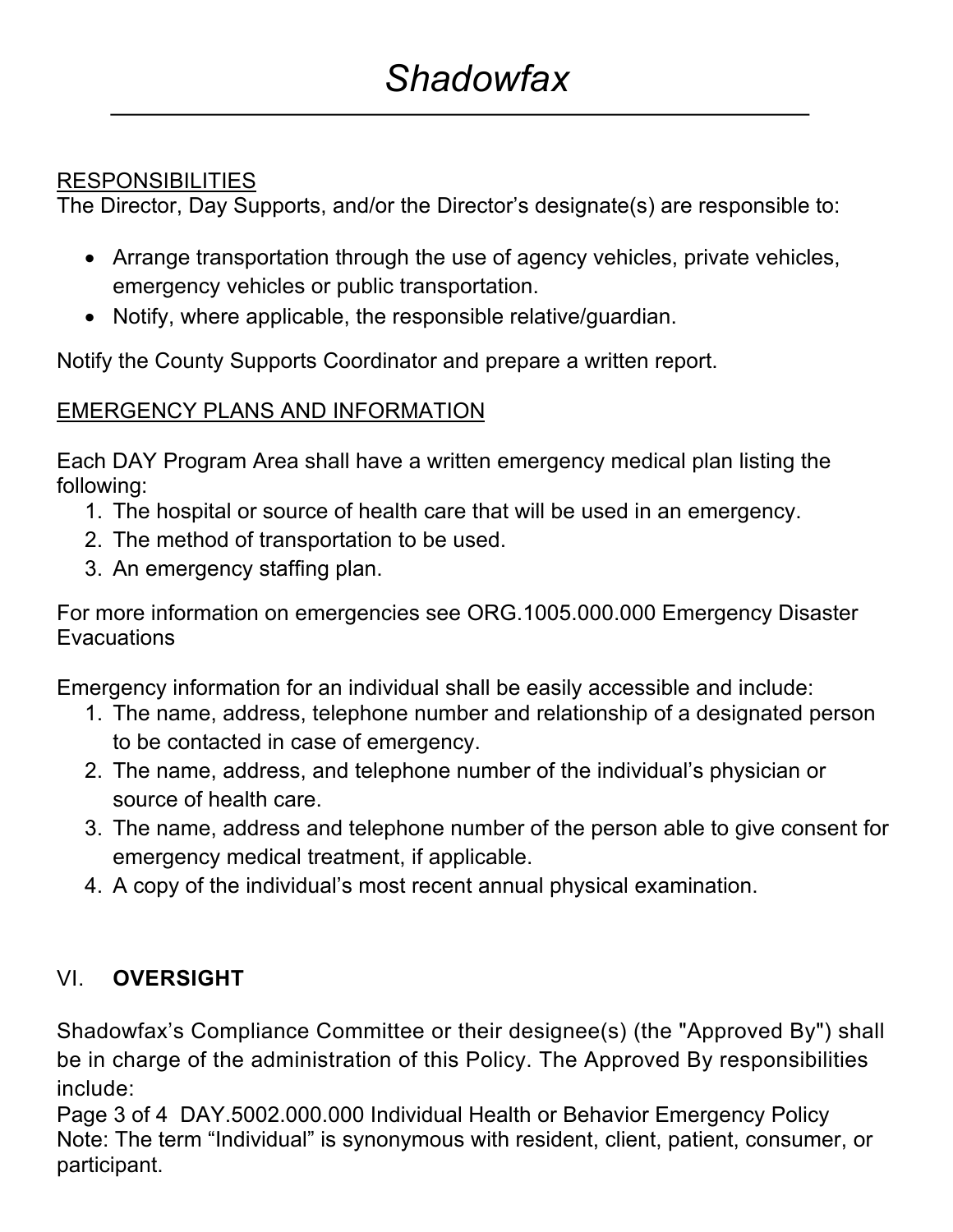### **RESPONSIBILITIES**

The Director, Day Supports, and/or the Director's designate(s) are responsible to:

- Arrange transportation through the use of agency vehicles, private vehicles, emergency vehicles or public transportation.
- Notify, where applicable, the responsible relative/guardian.

Notify the County Supports Coordinator and prepare a written report.

### EMERGENCY PLANS AND INFORMATION

Each DAY Program Area shall have a written emergency medical plan listing the following:

- 1. The hospital or source of health care that will be used in an emergency.
- 2. The method of transportation to be used.
- 3. An emergency staffing plan.

For more information on emergencies see ORG.1005.000.000 Emergency Disaster **Evacuations** 

Emergency information for an individual shall be easily accessible and include:

- 1. The name, address, telephone number and relationship of a designated person to be contacted in case of emergency.
- 2. The name, address, and telephone number of the individual's physician or source of health care.
- 3. The name, address and telephone number of the person able to give consent for emergency medical treatment, if applicable.
- 4. A copy of the individual's most recent annual physical examination.

## VI. **OVERSIGHT**

Shadowfax's Compliance Committee or their designee(s) (the "Approved By") shall be in charge of the administration of this Policy. The Approved By responsibilities include:

Page 3 of 4 DAY.5002.000.000 Individual Health or Behavior Emergency Policy Note: The term "Individual" is synonymous with resident, client, patient, consumer, or participant.